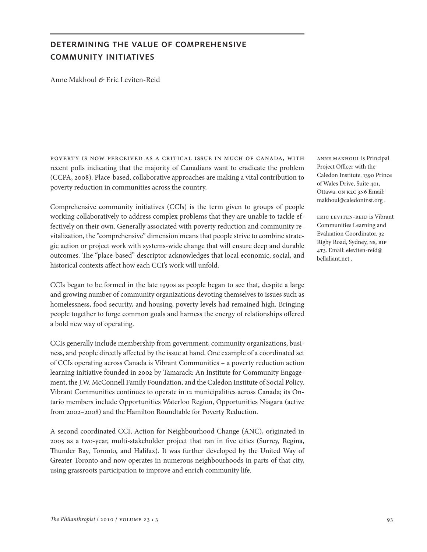# determining the value of comprehensive community initiatives

Anne Makhoul *&* Eric Leviten-Reid

poverty is now perceived as a critical issue in much of canada, with recent polls indicating that the majority of Canadians want to eradicate the problem (CCPA, 2008). Place-based, collaborative approaches are making a vital contribution to poverty reduction in communities across the country.

Comprehensive community initiatives (CCIs) is the term given to groups of people working collaboratively to address complex problems that they are unable to tackle effectively on their own. Generally associated with poverty reduction and community revitalization, the "comprehensive" dimension means that people strive to combine strategic action or project work with systems-wide change that will ensure deep and durable outcomes. The "place-based" descriptor acknowledges that local economic, social, and historical contexts affect how each CCI's work will unfold.

CCIs began to be formed in the late 1990s as people began to see that, despite a large and growing number of community organizations devoting themselves to issues such as homelessness, food security, and housing, poverty levels had remained high. Bringing people together to forge common goals and harness the energy of relationships offered a bold new way of operating.

CCIs generally include membership from government, community organizations, business, and people directly affected by the issue at hand. One example of a coordinated set of CCIs operating across Canada is Vibrant Communities – a poverty reduction action learning initiative founded in 2002 by Tamarack: An Institute for Community Engagement, the J.W. McConnell Family Foundation, and the Caledon Institute of Social Policy. Vibrant Communities continues to operate in 12 municipalities across Canada; its Ontario members include Opportunities Waterloo Region, Opportunities Niagara (active from 2002–2008) and the Hamilton Roundtable for Poverty Reduction.

A second coordinated CCI, Action for Neighbourhood Change (ANC), originated in 2005 as a two-year, multi-stakeholder project that ran in five cities (Surrey, Regina, Thunder Bay, Toronto, and Halifax). It was further developed by the United Way of Greater Toronto and now operates in numerous neighbourhoods in parts of that city, using grassroots participation to improve and enrich community life.

anne makhoul is Principal Project Officer with the Caledon Institute. 1390 Prince of Wales Drive, Suite 401, Ottawa, on k2c 3n6 Email: makhoul@caledoninst.org .

eric leviten-reid is Vibrant Communities Learning and Evaluation Coordinator. 32 Rigby Road, Sydney, ns, b1p 4t3. Email: eleviten-reid@ bellaliant.net .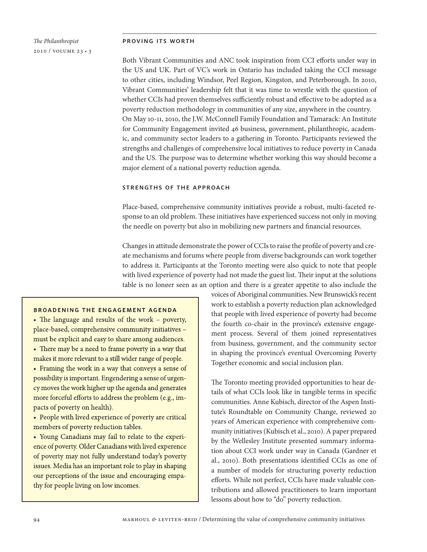# *The Philanthropist* 2010 / volume 23 • 3

#### proving its worth

Both Vibrant Communities and ANC took inspiration from CCI efforts under way in the US and UK. Part of VC's work in Ontario has included taking the CCI message to other cities, including Windsor, Peel Region, Kingston, and Peterborough. In 2010, Vibrant Communities' leadership felt that it was time to wrestle with the question of whether CCIs had proven themselves sufficiently robust and effective to be adopted as a poverty reduction methodology in communities of any size, anywhere in the country. On May 10-11, 2010, the J.W. McConnell Family Foundation and Tamarack: An Institute for Community Engagement invited 46 business, government, philanthropic, academic, and community sector leaders to a gathering in Toronto. Participants reviewed the strengths and challenges of comprehensive local initiatives to reduce poverty in Canada and the US. The purpose was to determine whether working this way should become a major element of a national poverty reduction agenda.

## strengths of the approach

Place-based, comprehensive community initiatives provide a robust, multi-faceted response to an old problem. These initiatives have experienced success not only in moving the needle on poverty but also in mobilizing new partners and financial resources.

Changes in attitude demonstrate the power of CCIs to raise the profile of poverty and create mechanisms and forums where people from diverse backgrounds can work together to address it. Participants at the Toronto meeting were also quick to note that people with lived experience of poverty had not made the guest list. Their input at the solutions table is no longer seen as an option and there is a greater appetite to also include the

## **BROADENING THE ENGAGEMENT AGENDA**

• The language and results of the work – poverty, place-based, comprehensive community initiatives must be explicit and easy to share among audiences.

• There may be a need to frame poverty in a way that makes it more relevant to a still wider range of people.

• Framing the work in a way that conveys a sense of possibility is important. Engendering a sense of urgency moves the work higher up the agenda and generates more forceful efforts to address the problem (e.g., impacts of poverty on health).

• People with lived experience of poverty are critical members of poverty reduction tables.

• Young Canadians may fail to relate to the experience of poverty. Older Canadians with lived experence of poverty may not fully understand today's poverty issues. Media has an important role to play in shaping our perceptions of the issue and encouraging empathy for people living on low incomes.

voices of Aboriginal communities. New Brunswick's recent work to establish a poverty reduction plan acknowledged that people with lived experience of poverty had become the fourth co-chair in the province's extensive engagement process. Several of them joined representatives from business, government, and the community sector in shaping the province's eventual Overcoming Poverty Together economic and social inclusion plan.

The Toronto meeting provided opportunities to hear details of what CCIs look like in tangible terms in specific communities. Anne Kubisch, director of the Aspen Institute's Roundtable on Community Change, reviewed 20 years of American experience with comprehensive community initiatives (Kubisch et al., 2010). A paper prepared by the Wellesley Institute presented summary information about CCI work under way in Canada (Gardner et al., 2010). Both presentations identified CCIs as one of a number of models for structuring poverty reduction efforts. While not perfect, CCIs have made valuable contributions and allowed practitioners to learn important lessons about how to "do" poverty reduction.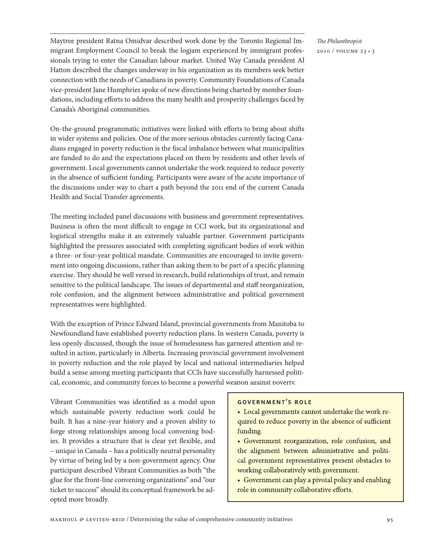Maytree president Ratna Omidvar described work done by the Toronto Regional Immigrant Employment Council to break the logjam experienced by immigrant professionals trying to enter the Canadian labour market. United Way Canada president Al Hatton described the changes underway in his organization as its members seek better connection with the needs of Canadians in poverty. Community Foundations of Canada vice-president Jane Humphries spoke of new directions being charted by member foundations, including efforts to address the many health and prosperity challenges faced by Canada's Aboriginal communities.

On-the-ground programmatic initiatives were linked with efforts to bring about shifts in wider systems and policies. One of the more serious obstacles currently facing Canadians engaged in poverty reduction is the fiscal imbalance between what municipalities are funded to do and the expectations placed on them by residents and other levels of government. Local governments cannot undertake the work required to reduce poverty in the absence of sufficient funding. Participants were aware of the acute importance of the discussions under way to chart a path beyond the 2011 end of the current Canada Health and Social Transfer agreements.

The meeting included panel discussions with business and government representatives. Business is often the most difficult to engage in CCI work, but its organizational and logistical strengths make it an extremely valuable partner. Government participants highlighted the pressures associated with completing significant bodies of work within a three- or four-year political mandate. Communities are encouraged to invite government into ongoing discussions, rather than asking them to be part of a specific planning exercise. They should be well versed in research, build relationships of trust, and remain sensitive to the political landscape. The issues of departmental and staff reorganization, role confusion, and the alignment between administrative and political government representatives were highlighted.

With the exception of Prince Edward Island, provincial governments from Manitoba to Newfoundland have established poverty reduction plans. In western Canada, poverty is less openly discussed, though the issue of homelessness has garnered attention and resulted in action, particularly in Alberta. Increasing provincial government involvement in poverty reduction and the role played by local and national intermediaries helped build a sense among meeting participants that CCIs have successfully harnessed political, economic, and community forces to become a powerful weapon against poverty.

Vibrant Communities was identified as a model upon which sustainable poverty reduction work could be built. It has a nine-year history and a proven ability to forge strong relationships among local convening bodies. It provides a structure that is clear yet flexible, and – unique in Canada – has a politically neutral personality by virtue of being led by a non-government agency. One participant described Vibrant Communities as both "the glue for the front-line convening organizations" and "our ticket to success" should its conceptual framework be adopted more broadly.

## **GOVERNMENT'S ROLE**

- Local governments cannot undertake the work required to reduce poverty in the absence of sufficient funding.
- · Government reorganization, role confusion, and the alignment between administrative and political government representatives present obstacles to working collaboratively with government.
- Government can play a pivotal policy and enabling role in community collaborative efforts.

*The Philanthropist* 2010 / volume 23 • 3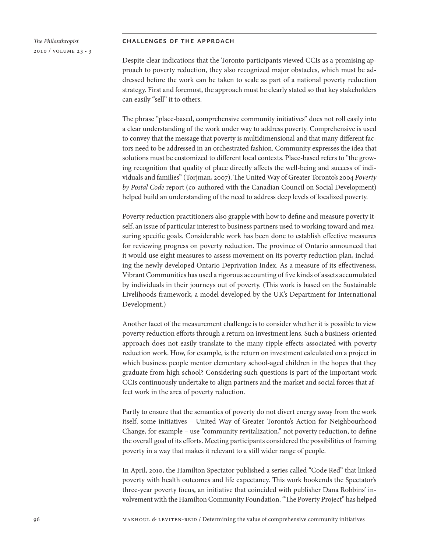## *The Philanthropist* 2010 / volume 23 • 3

#### challenges of the approach

Despite clear indications that the Toronto participants viewed CCIs as a promising approach to poverty reduction, they also recognized major obstacles, which must be addressed before the work can be taken to scale as part of a national poverty reduction strategy. First and foremost, the approach must be clearly stated so that key stakeholders can easily "sell" it to others.

The phrase "place-based, comprehensive community initiatives" does not roll easily into a clear understanding of the work under way to address poverty. Comprehensive is used to convey that the message that poverty is multidimensional and that many different factors need to be addressed in an orchestrated fashion. Community expresses the idea that solutions must be customized to different local contexts. Place-based refers to "the growing recognition that quality of place directly affects the well-being and success of individuals and families" (Torjman, 2007). The United Way of Greater Toronto's 2004 *Poverty by Postal Code* report (co-authored with the Canadian Council on Social Development) helped build an understanding of the need to address deep levels of localized poverty.

Poverty reduction practitioners also grapple with how to define and measure poverty itself, an issue of particular interest to business partners used to working toward and measuring specific goals. Considerable work has been done to establish effective measures for reviewing progress on poverty reduction. The province of Ontario announced that it would use eight measures to assess movement on its poverty reduction plan, including the newly developed Ontario Deprivation Index. As a measure of its effectiveness, Vibrant Communities has used a rigorous accounting of five kinds of assets accumulated by individuals in their journeys out of poverty. (This work is based on the Sustainable Livelihoods framework, a model developed by the UK's Department for International Development.)

Another facet of the measurement challenge is to consider whether it is possible to view poverty reduction efforts through a return on investment lens. Such a business-oriented approach does not easily translate to the many ripple effects associated with poverty reduction work. How, for example, is the return on investment calculated on a project in which business people mentor elementary school-aged children in the hopes that they graduate from high school? Considering such questions is part of the important work CCIs continuously undertake to align partners and the market and social forces that affect work in the area of poverty reduction.

Partly to ensure that the semantics of poverty do not divert energy away from the work itself, some initiatives – United Way of Greater Toronto's Action for Neighbourhood Change, for example – use "community revitalization," not poverty reduction, to define the overall goal of its efforts. Meeting participants considered the possibilities of framing poverty in a way that makes it relevant to a still wider range of people.

In April, 2010, the Hamilton Spectator published a series called "Code Red" that linked poverty with health outcomes and life expectancy. This work bookends the Spectator's three-year poverty focus, an initiative that coincided with publisher Dana Robbins' involvement with the Hamilton Community Foundation. "The Poverty Project" has helped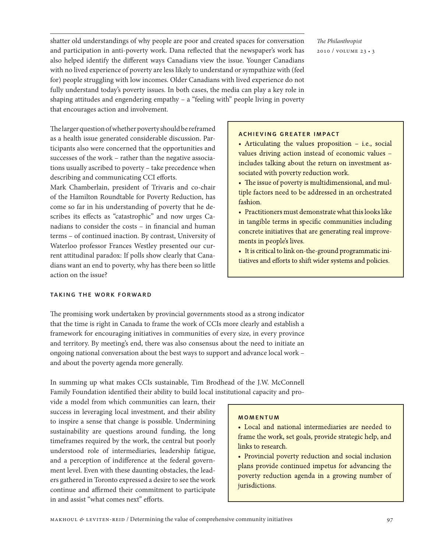shatter old understandings of why people are poor and created spaces for conversation and participation in anti-poverty work. Dana reflected that the newspaper's work has also helped identify the different ways Canadians view the issue. Younger Canadians with no lived experience of poverty are less likely to understand or sympathize with (feel for) people struggling with low incomes. Older Canadians with lived experience do not fully understand today's poverty issues. In both cases, the media can play a key role in shaping attitudes and engendering empathy – a "feeling with" people living in poverty that encourages action and involvement.

*The Philanthropist* 2010 / volume 23 • 3

## **ACHIEVING GREATER IMPACT**

• Articulating the values proposition  $-$  i.e., social values driving action instead of economic values includes talking about the return on investment associated with poverty reduction work.

• The issue of poverty is multidimensional, and multiple factors need to be addressed in an orchestrated fashion.

• Practitioners must demonstrate what this looks like in tangible terms in specific communities including concrete initiatives that are generating real improvements in people's lives.

• It is critical to link on-the-ground programmatic initiatives and efforts to shift wider systems and policies.

The larger question of whether poverty should be reframed as a health issue generated considerable discussion. Participants also were concerned that the opportunities and successes of the work – rather than the negative associations usually ascribed to poverty – take precedence when describing and communicating CCI efforts.

Mark Chamberlain, president of Trivaris and co-chair of the Hamilton Roundtable for Poverty Reduction, has come so far in his understanding of poverty that he describes its effects as "catastrophic" and now urges Canadians to consider the costs – in financial and human terms – of continued inaction. By contrast, University of Waterloo professor Frances Westley presented our current attitudinal paradox: If polls show clearly that Canadians want an end to poverty, why has there been so little action on the issue?

### taking the work forward

The promising work undertaken by provincial governments stood as a strong indicator that the time is right in Canada to frame the work of CCIs more clearly and establish a framework for encouraging initiatives in communities of every size, in every province and territory. By meeting's end, there was also consensus about the need to initiate an ongoing national conversation about the best ways to support and advance local work – and about the poverty agenda more generally.

In summing up what makes CCIs sustainable, Tim Brodhead of the J.W. McConnell Family Foundation identified their ability to build local institutional capacity and pro-

vide a model from which communities can learn, their success in leveraging local investment, and their ability to inspire a sense that change is possible. Undermining sustainability are questions around funding, the long timeframes required by the work, the central but poorly understood role of intermediaries, leadership fatigue, and a perception of indifference at the federal government level. Even with these daunting obstacles, the leaders gathered in Toronto expressed a desire to see the work continue and affirmed their commitment to participate in and assist "what comes next" efforts.

## **MOMENTUM**

• Local and national intermediaries are needed to frame the work, set goals, provide strategic help, and links to research.

• Provincial poverty reduction and social inclusion plans provide continued impetus for advancing the poverty reduction agenda in a growing number of jurisdictions.